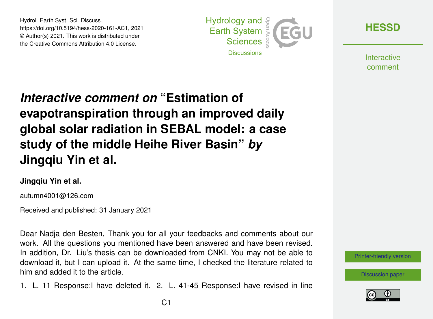Hydrol. Earth Syst. Sci. Discuss., https://doi.org/10.5194/hess-2020-161-AC1, 2021 © Author(s) 2021. This work is distributed under the Creative Commons Attribution 4.0 License.



**[HESSD](https://hess.copernicus.org/preprints/)**

**Interactive** comment

# *Interactive comment on* **"Estimation of evapotranspiration through an improved daily global solar radiation in SEBAL model: a case study of the middle Heihe River Basin"** *by* **Jingqiu Yin et al.**

#### **Jingqiu Yin et al.**

autumn4001@126.com

Received and published: 31 January 2021

Dear Nadja den Besten, Thank you for all your feedbacks and comments about our work. All the questions you mentioned have been answered and have been revised. In addition, Dr. Liu's thesis can be downloaded from CNKI. You may not be able to download it, but I can upload it. At the same time, I checked the literature related to him and added it to the article.

1. L. 11 Response:I have deleted it. 2. L. 41-45 Response:I have revised in line

[Printer-friendly version](https://hess.copernicus.org/preprints/hess-2020-161/hess-2020-161-AC1-print.pdf)

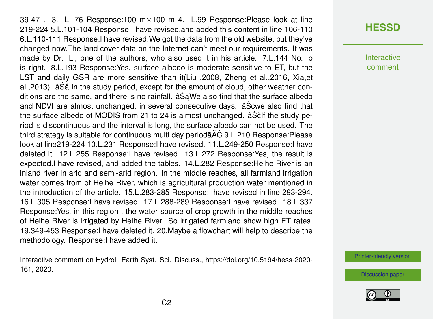39-47 . 3. L. 76 Response:100  $m \times 100$  m 4. L.99 Response: Please look at line 219-224 5.L.101-104 Response:I have revised,and added this content in line 106-110 6.L.110-111 Response:I have revised.We got the data from the old website, but they've changed now.The land cover data on the Internet can't meet our requirements. It was made by Dr. Li, one of the authors, who also used it in his article. 7.L.144 No. b is right. 8.L.193 Response:Yes, surface albedo is moderate sensitive to ET, but the LST and daily GSR are more sensitive than it(Liu ,2008, Zheng et al.,2016, Xia,et al., 2013). â Să In the study period, except for the amount of cloud, other weather conditions are the same, and there is no rainfall.  $\hat{a} \hat{S}$ aWe also find that the surface albedo and NDVI are almost unchanged, in several consecutive days.  $âS$  cwe also find that the surface albedo of MODIS from 21 to 24 is almost unchanged.  $\hat{a} \hat{S} \hat{c}$  if the study period is discontinuous and the interval is long, the surface albedo can not be used. The third strategy is suitable for continuous multi day periodã AC 9.L.210 Response: Please look at line219-224 10.L.231 Response:I have revised. 11.L.249-250 Response:I have deleted it. 12.L.255 Response:I have revised. 13.L.272 Response:Yes, the result is expected.I have revised, and added the tables. 14.L.282 Response:Heihe River is an inland river in arid and semi-arid region. In the middle reaches, all farmland irrigation water comes from of Heihe River, which is agricultural production water mentioned in the introduction of the article. 15.L.283-285 Response:I have revised in line 293-294. 16.L.305 Response:I have revised. 17.L.288-289 Response:I have revised. 18.L.337 Response:Yes, in this region , the water source of crop growth in the middle reaches of Heihe River is irrigated by Heihe River. So irrigated farmland show high ET rates. 19.349-453 Response:I have deleted it. 20.Maybe a flowchart will help to describe the methodology. Response:I have added it.

## **[HESSD](https://hess.copernicus.org/preprints/)**

Interactive comment

[Printer-friendly version](https://hess.copernicus.org/preprints/hess-2020-161/hess-2020-161-AC1-print.pdf)



Interactive comment on Hydrol. Earth Syst. Sci. Discuss., https://doi.org/10.5194/hess-2020- 161, 2020.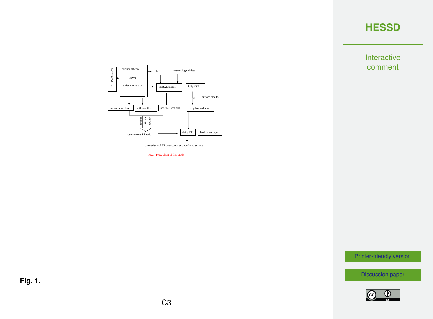Interactive comment



Fig.1. Flow chart of this study

[Printer-friendly version](https://hess.copernicus.org/preprints/hess-2020-161/hess-2020-161-AC1-print.pdf)

[Discussion paper](https://hess.copernicus.org/preprints/hess-2020-161)



**Fig. 1.**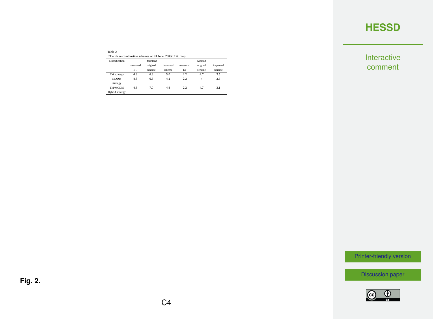Interactive comment

| Table 2                                                    |  |
|------------------------------------------------------------|--|
| ET of three combination schemes on 24 June, 2009(Unit: mm) |  |

| Classification              | farmland |          |          | wetland  |          |          |  |
|-----------------------------|----------|----------|----------|----------|----------|----------|--|
|                             | measured | original | improved | measured | original | improved |  |
|                             | ET       | scheme   | scheme   | ET       | scheme   | scheme   |  |
| TM strategy                 | 4.8      | 6.3      | 5.0      | 2.2      | 47       | 3.5      |  |
| <b>MODIS</b>                | 4.8      | 63       | 42       | 2.2      | 4        | 2.6      |  |
| strategy<br><b>TM/MODIS</b> | 4.8      | 7.0      | 4.8      | 2.2      | 47       | 31       |  |
| Hybrid strategy             |          |          |          |          |          |          |  |

[Printer-friendly version](https://hess.copernicus.org/preprints/hess-2020-161/hess-2020-161-AC1-print.pdf)

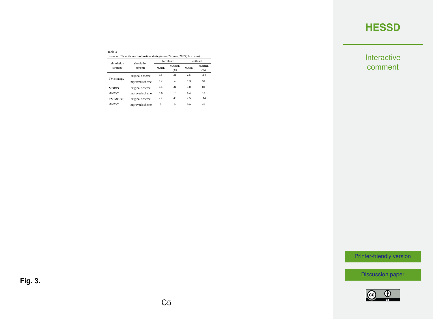Interactive comment

| Table 3                                                                  |  |
|--------------------------------------------------------------------------|--|
| Errors of ETs of three combination strategies on 24 June, 2009(Unit: mm) |  |

| simulation      | simulation      |             | farmland             | wetland     |                      |
|-----------------|-----------------|-------------|----------------------|-------------|----------------------|
| strategy        | scheme          | <b>MARE</b> | <b>MARRE</b><br>(% ) | <b>MARE</b> | <b>MARRE</b><br>(96) |
|                 | original scheme | 15          | 31                   | 2.5         | 114                  |
| TM strategy     | improved scheme | 02          | 4                    | 13          | 59                   |
| <b>MODIS</b>    | original scheme | 15          | 31                   | 18          | 82                   |
| strategy        | improved scheme | 0.6         | 13                   | 0.4         | 18                   |
| <b>TM/MODIS</b> | original scheme | 22          | 46                   | 2.5         | 114                  |
| strategy        | improved scheme | $\Omega$    | $\Omega$             | 09          | 41                   |

[Printer-friendly version](https://hess.copernicus.org/preprints/hess-2020-161/hess-2020-161-AC1-print.pdf)

[Discussion paper](https://hess.copernicus.org/preprints/hess-2020-161)



**Fig. 3.**